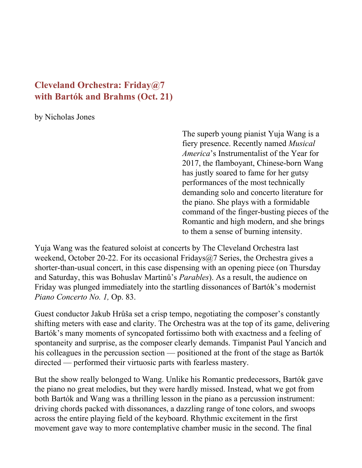## **Cleveland Orchestra: Friday@7 with Bartók and Brahms (Oct. 21)**

by Nicholas Jones

The superb young pianist Yuja Wang is a fiery presence. Recently named *Musical America*'s Instrumentalist of the Year for 2017, the flamboyant, Chinese-born Wang has justly soared to fame for her gutsy performances of the most technically demanding solo and concerto literature for the piano. She plays with a formidable command of the finger-busting pieces of the Romantic and high modern, and she brings to them a sense of burning intensity.

Yuja Wang was the featured soloist at concerts by The Cleveland Orchestra last weekend, October 20-22. For its occasional Fridays $\omega$ , Series, the Orchestra gives a shorter-than-usual concert, in this case dispensing with an opening piece (on Thursday and Saturday, this was Bohuslav Martinů's *Parables*). As a result, the audience on Friday was plunged immediately into the startling dissonances of Bartók's modernist *Piano Concerto No. 1,* Op. 83.

Guest conductor Jakub Hrůša set a crisp tempo, negotiating the composer's constantly shifting meters with ease and clarity. The Orchestra was at the top of its game, delivering Bartók's many moments of syncopated fortissimo both with exactness and a feeling of spontaneity and surprise, as the composer clearly demands. Timpanist Paul Yancich and his colleagues in the percussion section — positioned at the front of the stage as Bartók directed — performed their virtuosic parts with fearless mastery.

But the show really belonged to Wang. Unlike his Romantic predecessors, Bartók gave the piano no great melodies, but they were hardly missed. Instead, what we got from both Bartók and Wang was a thrilling lesson in the piano as a percussion instrument: driving chords packed with dissonances, a dazzling range of tone colors, and swoops across the entire playing field of the keyboard. Rhythmic excitement in the first movement gave way to more contemplative chamber music in the second. The final